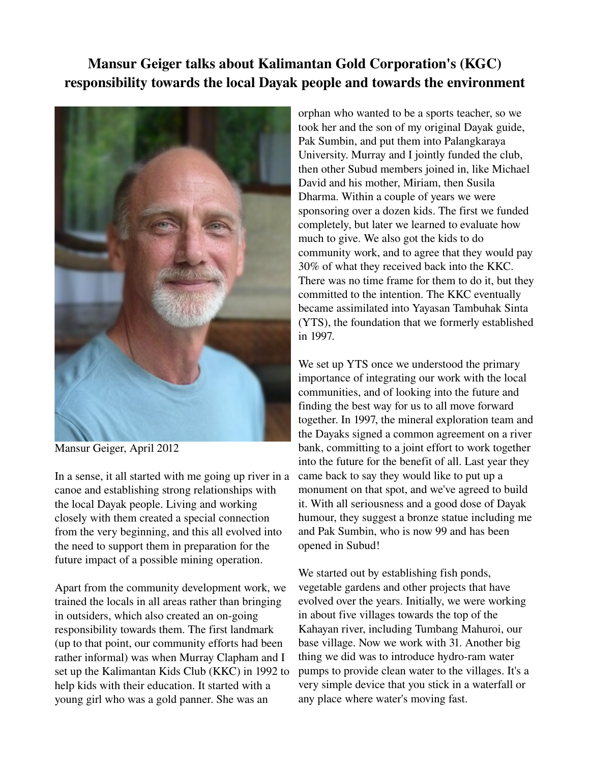## Mansur Geiger talks about Kalimantan Gold Corporation's (KGC) responsibility towards the local Dayak people and towards the environment



Mansur Geiger, April 2012

In a sense, it all started with me going up river in a canoe and establishing strong relationships with the local Dayak people. Living and working closely with them created a special connection from the very beginning, and this all evolved into the need to support them in preparation for the future impact of a possible mining operation.

Apart from the community development work, we trained the locals in all areas rather than bringing in outsiders, which also created an on-going responsibility towards them. The first landmark (up to that point, our community efforts had been rather informal) was when Murray Clapham and I set up the Kalimantan Kids Club (KKC) in 1992 to help kids with their education. It started with a young girl who was a gold panner. She was an

orphan who wanted to be a sports teacher, so we took her and the son of my original Dayak guide, Pak Sumbin, and put them into Palangkaraya University. Murray and I jointly funded the club, then other Subud members joined in, like Michael David and his mother, Miriam, then Susila Dharma. Within a couple of years we were sponsoring over a dozen kids. The first we funded completely, but later we learned to evaluate how much to give. We also got the kids to do community work, and to agree that they would pay 30% of what they received back into the KKC. There was no time frame for them to do it, but they committed to the intention. The KKC eventually became assimilated into Yayasan Tambuhak Sinta (YTS), the foundation that we formerly established in 1997.

We set up YTS once we understood the primary importance of integrating our work with the local communities, and of looking into the future and finding the best way for us to all move forward together. In 1997, the mineral exploration team and the Dayaks signed a common agreement on a river bank, committing to a joint effort to work together into the future for the benefit of all. Last year they came back to say they would like to put up a monument on that spot, and we've agreed to build it. With all seriousness and a good dose of Dayak humour, they suggest a bronze statue including me and Pak Sumbin, who is now 99 and has been opened in Subud!

We started out by establishing fish ponds, vegetable gardens and other projects that have evolved over the years. Initially, we were working in about five villages towards the top of the Kahayan river, including Tumbang Mahuroi, our base village. Now we work with 31. Another big thing we did was to introduce hydro-ram water pumps to provide clean water to the villages. It's a very simple device that you stick in a waterfall or any place where water's moving fast.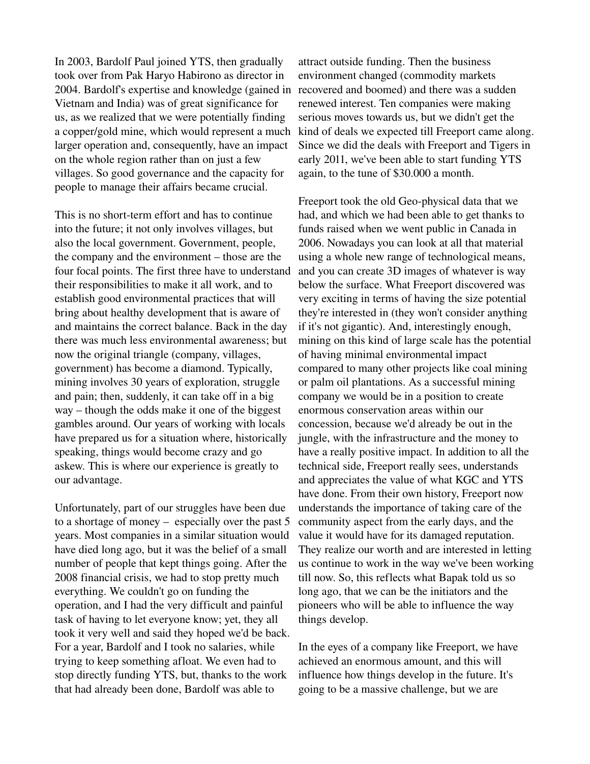In 2003, Bardolf Paul joined YTS, then gradually took over from Pak Haryo Habirono as director in 2004. Bardolf's expertise and knowledge (gained in Vietnam and India) was of great significance for us, as we realized that we were potentially finding a copper/gold mine, which would represent a much larger operation and, consequently, have an impact on the whole region rather than on just a few villages. So good governance and the capacity for people to manage their affairs became crucial.

This is no short-term effort and has to continue into the future; it not only involves villages, but also the local government. Government, people, the company and the environment – those are the four focal points. The first three have to understand their responsibilities to make it all work, and to establish good environmental practices that will bring about healthy development that is aware of and maintains the correct balance. Back in the day there was much less environmental awareness; but now the original triangle (company, villages, government) has become a diamond. Typically, mining involves 30 years of exploration, struggle and pain; then, suddenly, it can take off in a big way – though the odds make it one of the biggest gambles around. Our years of working with locals have prepared us for a situation where, historically speaking, things would become crazy and go askew. This is where our experience is greatly to our advantage.

Unfortunately, part of our struggles have been due to a shortage of money – especially over the past 5 years. Most companies in a similar situation would have died long ago, but it was the belief of a small number of people that kept things going. After the 2008 financial crisis, we had to stop pretty much everything. We couldn't go on funding the operation, and I had the very difficult and painful task of having to let everyone know; yet, they all took it very well and said they hoped we'd be back. For a year, Bardolf and I took no salaries, while trying to keep something afloat. We even had to stop directly funding YTS, but, thanks to the work that had already been done, Bardolf was able to

attract outside funding. Then the business environment changed (commodity markets recovered and boomed) and there was a sudden renewed interest. Ten companies were making serious moves towards us, but we didn't get the kind of deals we expected till Freeport came along. Since we did the deals with Freeport and Tigers in early 2011, we've been able to start funding YTS again, to the tune of \$30.000 a month.

Freeport took the old Geo-physical data that we had, and which we had been able to get thanks to funds raised when we went public in Canada in 2006. Nowadays you can look at all that material using a whole new range of technological means, and you can create 3D images of whatever is way below the surface. What Freeport discovered was very exciting in terms of having the size potential they're interested in (they won't consider anything if it's not gigantic). And, interestingly enough, mining on this kind of large scale has the potential of having minimal environmental impact compared to many other projects like coal mining or palm oil plantations. As a successful mining company we would be in a position to create enormous conservation areas within our concession, because we'd already be out in the jungle, with the infrastructure and the money to have a really positive impact. In addition to all the technical side, Freeport really sees, understands and appreciates the value of what KGC and YTS have done. From their own history, Freeport now understands the importance of taking care of the community aspect from the early days, and the value it would have for its damaged reputation. They realize our worth and are interested in letting us continue to work in the way we've been working till now. So, this reflects what Bapak told us so long ago, that we can be the initiators and the pioneers who will be able to influence the way things develop.

In the eyes of a company like Freeport, we have achieved an enormous amount, and this will influence how things develop in the future. It's going to be a massive challenge, but we are